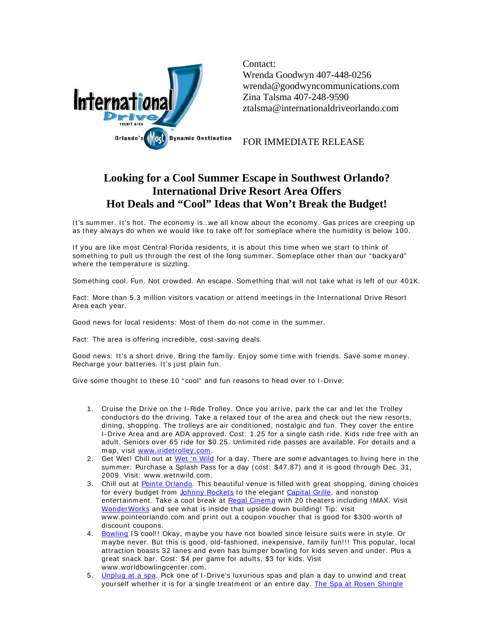

Contact: Wrenda Goodwyn 407-448-0256 wrenda@goodwyncommunications.com Zina Talsma 407-248-9590 ztalsma@internationaldriveorlando.com

FOR IMMEDIATE RELEASE

## **Looking for a Cool Summer Escape in Southwest Orlando? International Drive Resort Area Offers Hot Deals and "Cool" Ideas that Won't Break the Budget!**

It's summer. It's hot. The economy is. we all know about the economy. Gas prices are creeping up as they always do when we would like to take off for som eplace where the hum idity is below 100.

If you are like most Central Florida residents, it is about this time when we start to think of som ething to pull us through the rest of the long summer. Someplace other than our "backyard" where the temperature is sizzling.

Something cool. Fun. Not crowded. An escape. Something that will not take what is left of our 401K.

Fact: More than 5.3 million visitors vacation or attend meetings in the International Drive Resort Area each year.

Good news for local residents: Most of them do not come in the summer.

Fact: The area is offering incredible, cost-saving deals.

Good news: It's a short drive. Bring the family. Enjoy some time with friends. Save some money. Recharge your batteries. It's just plain fun.

Give some thought to these 10 "cool" and fun reasons to head over to I-Drive:

- 1. Cruise the Drive on the I -Ride Trolley. Once you arrive, park the car and let the Trolley conductors do the driving. Take a relaxed tour of the area and check out the new resorts, dining, shopping. The trolleys are air conditioned, nostalgic and fun. They cover the entire I-Drive Area and are ADA approved. Cost: 1.25 for a single cash ride. Kids ride free with an adult. Seniors over 65 ride for \$0.25. Unlimited ride passes are available. For details and a m ap, visit www.iridetrolley.com .
- 2. Get Wet! Chill out at Wet 'n Wild for a day. There are some advantages to living here in the sum mer: Purchase a Splash Pass for a day (cost: \$47.87) and it is good through Dec. 31, 2009. Visit: www.wetnwild.com .
- 3. Chill out at Pointe Orlando. This beautiful venue is filled with great shopping, dining choices for every budget from Johnny Rockets to the elegant Capital Grille, and nonstop entertainment. Take a cool break at Regal Cinema with 20 theaters including IMAX. Visit WonderWorks and see what is inside that upside down building! Tip: visit www.pointeorlando.com and print out a coupon voucher that is good for \$300 worth of discount coupons.
- 4. Bowling IS cool!! Okay, maybe you have not bowled since leisure suits were in style. Or m aybe never. But this is good, old-fashioned, inexpensive, fam ily fun!!! This popular, local attraction boasts 32 lanes and even has bumper bowling for kids seven and under. Plus a great snack bar. Cost: \$4 per game for adults, \$3 for kids. Visit www.worldbowlingcenter.com.
- 5. Unplug at a spa. Pick one of I-Drive's luxurious spas and plan a day to unwind and treat yourself whether it is for a single treatment or an entire day. The Spa at Rosen Shingle